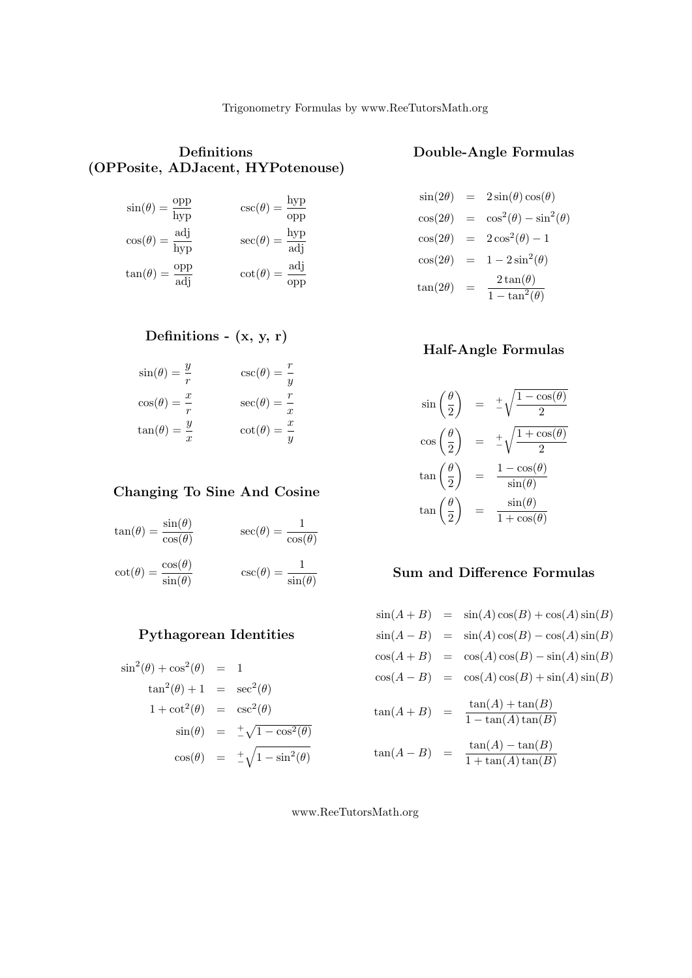## Definitions (OPPosite, ADJacent, HYPotenouse)

| $\frac{\text{opp}}{\text{hyp}}$ | $\csc(\theta) = \frac{\text{hyp}}{}$   |
|---------------------------------|----------------------------------------|
| $\sin(\theta) =$                | opp                                    |
| $cos(\theta) = \frac{adj}{hyp}$ | $\sec(\theta) = \frac{hyp}{adj}$       |
| $\frac{\text{opp}}{\text{adj}}$ | $\cot(\theta) = \frac{\text{adj}}{\ }$ |
| $tan(\theta) =$                 | opp                                    |

# Definitions -  $(x, y, r)$

| $\sin(\theta) = \frac{y}{r}$ | $\csc(\theta) = \frac{r}{y}$ |
|------------------------------|------------------------------|
| $\cos(\theta) = \frac{x}{r}$ | $\sec(\theta) = \frac{r}{x}$ |
| $\tan(\theta) = \frac{y}{x}$ | $\cot(\theta) = \frac{x}{x}$ |

## Changing To Sine And Cosine

$$
\tan(\theta) = \frac{\sin(\theta)}{\cos(\theta)} \qquad \sec(\theta) = \frac{1}{\cos(\theta)}
$$

 $\cot(\theta) = \frac{\cos(\theta)}{\sin(\theta)}$   $\qquad \csc(\theta) = \frac{1}{\sin(\theta)}$ 

# Pythagorean Identities

$$
\sin^2(\theta) + \cos^2(\theta) = 1
$$
  
\n
$$
\tan^2(\theta) + 1 = \sec^2(\theta)
$$
  
\n
$$
1 + \cot^2(\theta) = \csc^2(\theta)
$$
  
\n
$$
\sin(\theta) = \pm \sqrt{1 - \cos^2(\theta)}
$$
  
\n
$$
\cos(\theta) = \pm \sqrt{1 - \sin^2(\theta)}
$$

## Double-Angle Formulas

$$
\sin(2\theta) = 2\sin(\theta)\cos(\theta)
$$
  
\n
$$
\cos(2\theta) = \cos^{2}(\theta) - \sin^{2}(\theta)
$$
  
\n
$$
\cos(2\theta) = 2\cos^{2}(\theta) - 1
$$
  
\n
$$
\cos(2\theta) = 1 - 2\sin^{2}(\theta)
$$
  
\n
$$
\tan(2\theta) = \frac{2\tan(\theta)}{1 - \tan^{2}(\theta)}
$$

## Half-Angle Formulas

$$
\sin\left(\frac{\theta}{2}\right) = \pm\sqrt{\frac{1-\cos(\theta)}{2}}
$$

$$
\cos\left(\frac{\theta}{2}\right) = \pm\sqrt{\frac{1+\cos(\theta)}{2}}
$$

$$
\tan\left(\frac{\theta}{2}\right) = \frac{1-\cos(\theta)}{\sin(\theta)}
$$

$$
\tan\left(\frac{\theta}{2}\right) = \frac{\sin(\theta)}{1+\cos(\theta)}
$$

# Sum and Difference Formulas

|                | $\sin(A+B) = \sin(A)\cos(B) + \cos(A)\sin(B)$   |
|----------------|-------------------------------------------------|
|                | $\sin(A - B) = \sin(A)\cos(B) - \cos(A)\sin(B)$ |
|                | $\cos(A+B) = \cos(A)\cos(B) - \sin(A)\sin(B)$   |
|                | $\cos(A-B) = \cos(A)\cos(B) + \sin(A)\sin(B)$   |
| $tan(A+B) =$   | $tan(A) + tan(B)$<br>$1 - \tan(A) \tan(B)$      |
| $tan(A - B) =$ | $tan(A) - tan(B)$<br>$1 + \tan(A) \tan(B)$      |

www.ReeTutorsMath.org